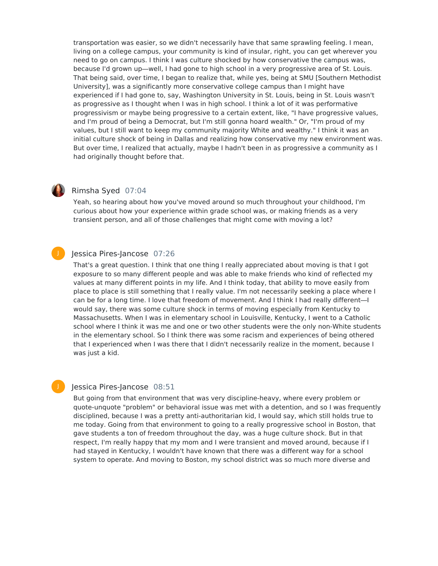transportation was easier, so we didn't necessarily have that same sprawling feeling. I mean, living on a college campus, your community is kind of insular, right, you can get wherever you need to go on campus. I think I was culture shocked by how conservative the campus was, because I'd grown up—well, I had gone to high school in a very progressive area of St. Louis. That being said, over time, I began to realize that, while yes, being at SMU [Southern Methodist University], was a significantly more conservative college campus than I might have experienced if I had gone to, say, Washington University in St. Louis, being in St. Louis wasn't as progressive as I thought when I was in high school. I think a lot of it was performative progressivism or maybe being progressive to a certain extent, like, "I have progressive values, and I'm proud of being a Democrat, but I'm still gonna hoard wealth." Or, "I'm proud of my values, but I still want to keep my community majority White and wealthy." I think it was an initial culture shock of being in Dallas and realizing how conservative my new environment was. But over time, I realized that actually, maybe I hadn't been in as progressive a community as I had originally thought before that.

J

## Rimsha Syed 07:04

Yeah, so hearing about how you've moved around so much throughout your childhood, I'm curious about how your experience within grade school was, or making friends as a very transient person, and all of those challenges that might come with moving a lot?

## Jessica Pires-Jancose 07:26

That's a great question. I think that one thing I really appreciated about moving is that I got exposure to so many different people and was able to make friends who kind of reflected my values at many different points in my life. And I think today, that ability to move easily from place to place is still something that I really value. I'm not necessarily seeking a place where I can be for a long time. I love that freedom of movement. And I think I had really different—I would say, there was some culture shock in terms of moving especially from Kentucky to Massachusetts. When I was in elementary school in Louisville, Kentucky, I went to a Catholic school where I think it was me and one or two other students were the only non-White students in the elementary school. So I think there was some racism and experiences of being othered that I experienced when I was there that I didn't necessarily realize in the moment, because I was just a kid.

## Jessica Pires-Jancose 08:51

But going from that environment that was very discipline-heavy, where every problem or quote-unquote "problem" or behavioral issue was met with a detention, and so I was frequently disciplined, because I was a pretty anti-authoritarian kid, I would say, which still holds true to me today. Going from that environment to going to a really progressive school in Boston, that gave students a ton of freedom throughout the day, was a huge culture shock. But in that respect, I'm really happy that my mom and I were transient and moved around, because if I had stayed in Kentucky, I wouldn't have known that there was a different way for a school system to operate. And moving to Boston, my school district was so much more diverse and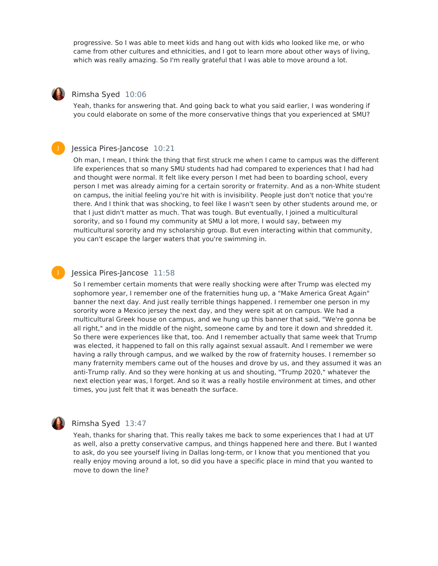progressive. So I was able to meet kids and hang out with kids who looked like me, or who came from other cultures and ethnicities, and I got to learn more about other ways of living, which was really amazing. So I'm really grateful that I was able to move around a lot.

J

# Rimsha Syed 10:06

Yeah, thanks for answering that. And going back to what you said earlier, I was wondering if you could elaborate on some of the more conservative things that you experienced at SMU?

## Jessica Pires-Jancose 10:21

Oh man, I mean, I think the thing that first struck me when I came to campus was the different life experiences that so many SMU students had had compared to experiences that I had had and thought were normal. It felt like every person I met had been to boarding school, every person I met was already aiming for a certain sorority or fraternity. And as a non-White student on campus, the initial feeling you're hit with is invisibility. People just don't notice that you're there. And I think that was shocking, to feel like I wasn't seen by other students around me, or that I just didn't matter as much. That was tough. But eventually, I joined a multicultural sorority, and so I found my community at SMU a lot more, I would say, between my multicultural sorority and my scholarship group. But even interacting within that community, you can't escape the larger waters that you're swimming in.

### Jessica Pires-Jancose 11:58

So I remember certain moments that were really shocking were after Trump was elected my sophomore year, I remember one of the fraternities hung up, a "Make America Great Again" banner the next day. And just really terrible things happened. I remember one person in my sorority wore a Mexico jersey the next day, and they were spit at on campus. We had a multicultural Greek house on campus, and we hung up this banner that said, "We're gonna be all right," and in the middle of the night, someone came by and tore it down and shredded it. So there were experiences like that, too. And I remember actually that same week that Trump was elected, it happened to fall on this rally against sexual assault. And I remember we were having a rally through campus, and we walked by the row of fraternity houses. I remember so many fraternity members came out of the houses and drove by us, and they assumed it was an anti-Trump rally. And so they were honking at us and shouting, "Trump 2020," whatever the next election year was, I forget. And so it was a really hostile environment at times, and other times, you just felt that it was beneath the surface.

Rimsha Syed 13:47

Yeah, thanks for sharing that. This really takes me back to some experiences that I had at UT as well, also a pretty conservative campus, and things happened here and there. But I wanted to ask, do you see yourself living in Dallas long-term, or I know that you mentioned that you really enjoy moving around a lot, so did you have a specific place in mind that you wanted to move to down the line?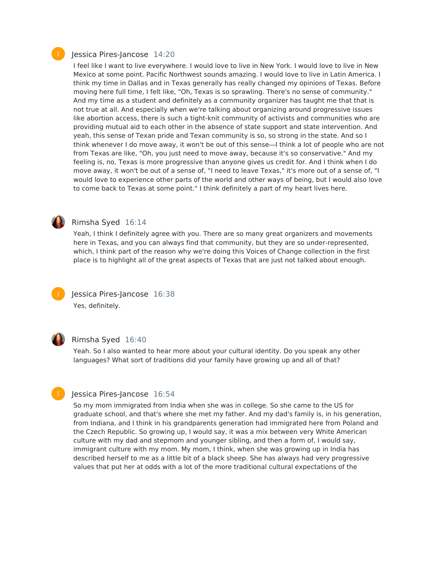### Jessica Pires-Jancose 14:20

I feel like I want to live everywhere. I would love to live in New York. I would love to live in New Mexico at some point. Pacific Northwest sounds amazing. I would love to live in Latin America. I think my time in Dallas and in Texas generally has really changed my opinions of Texas. Before moving here full time, I felt like, "Oh, Texas is so sprawling. There's no sense of community." And my time as a student and definitely as a community organizer has taught me that that is not true at all. And especially when we're talking about organizing around progressive issues like abortion access, there is such a tight-knit community of activists and communities who are providing mutual aid to each other in the absence of state support and state intervention. And yeah, this sense of Texan pride and Texan community is so, so strong in the state. And so I think whenever I do move away, it won't be out of this sense-I think a lot of people who are not from Texas are like, "Oh, you just need to move away, because it's so conservative." And my feeling is, no, Texas is more progressive than anyone gives us credit for. And I think when I do move away, it won't be out of a sense of, "I need to leave Texas," it's more out of a sense of, "I would love to experience other parts of the world and other ways of being, but I would also love to come back to Texas at some point." I think definitely a part of my heart lives here.



## Rimsha Syed 16:14

Yeah, I think I definitely agree with you. There are so many great organizers and movements here in Texas, and you can always find that community, but they are so under-represented, which, I think part of the reason why we're doing this Voices of Change collection in the first place is to highlight all of the great aspects of Texas that are just not talked about enough.



Jessica Pires-Jancose 16:38 Yes, definitely.



# Rimsha Syed 16:40

Yeah. So I also wanted to hear more about your cultural identity. Do you speak any other languages? What sort of traditions did your family have growing up and all of that?

### Jessica Pires-Jancose 16:54

So my mom immigrated from India when she was in college. So she came to the US for graduate school, and that's where she met my father. And my dad's family is, in his generation, from Indiana, and I think in his grandparents generation had immigrated here from Poland and the Czech Republic. So growing up, I would say, it was a mix between very White American culture with my dad and stepmom and younger sibling, and then a form of, I would say, immigrant culture with my mom. My mom, I think, when she was growing up in India has described herself to me as a little bit of a black sheep. She has always had very progressive values that put her at odds with a lot of the more traditional cultural expectations of the

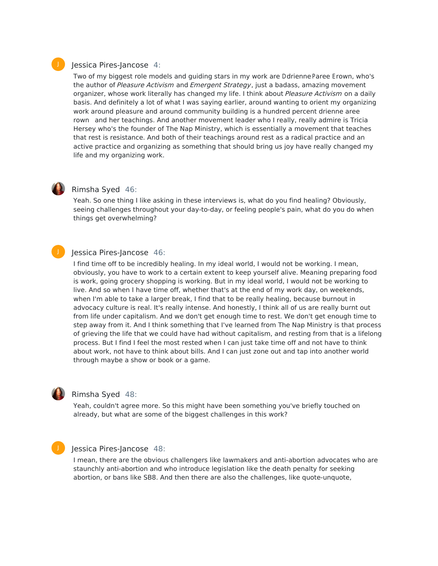### Jessica Pires-Jancose 4t:pt

Two of my biggest role models and guiding stars in my work are "drienne aree 8rown, who's the author of Pleasure Activism and Emergent Strategy, just a badass, amazing movement organizer, whose work literally has changed my life. I think about Pleasure Activism on a daily basis. And definitely a lot of what I was saying earlier, around wanting to orient my organizing work around pleasure and around community building is a hundred percent "drienne aree 8rown and her teachings. And another movement leader who I really, really admire is Tricia Hersey who's the founder of The Nap Ministry, which is essentially a movement that teaches that rest is resistance. And both of their teachings around rest as a radical practice and an active practice and organizing as something that should bring us joy have really changed my life and my organizing work.

J

# Rimsha Syed 46:1b

Yeah. So one thing I like asking in these interviews is, what do you find healing? Obviously, seeing challenges throughout your day-to-day, or feeling people's pain, what do you do when things get overwhelming?

### Jessica Pires-Jancose 46:7t

I find time off to be incredibly healing. In my ideal world, I would not be working. I mean, obviously, you have to work to a certain extent to keep yourself alive. Meaning preparing food is work, going grocery shopping is working. But in my ideal world, I would not be working to live. And so when I have time off, whether that's at the end of my work day, on weekends, when I'm able to take a larger break, I find that to be really healing, because burnout in advocacy culture is real. It's really intense. And honestly, I think all of us are really burnt out from life under capitalism. And we don't get enough time to rest. We don't get enough time to step away from it. And I think something that I've learned from The Nap Ministry is that process of grieving the life that we could have had without capitalism, and resting from that is a lifelong process. But I find I feel the most rested when I can just take time off and not have to think about work, not have to think about bills. And I can just zone out and tap into another world through maybe a show or book or a game.

# Rimsha Syed 48:1:

Yeah, couldn't agree more. So this might have been something you've briefly touched on already, but what are some of the biggest challenges in this work?

### Jessica Pires-Jancose 48:::

I mean, there are the obvious challengers like lawmakers and anti-abortion advocates who are staunchly anti-abortion and who introduce legislation like the death penalty for seeking abortion, or bans like SB8. And then there are also the challenges, like quote-unquote,

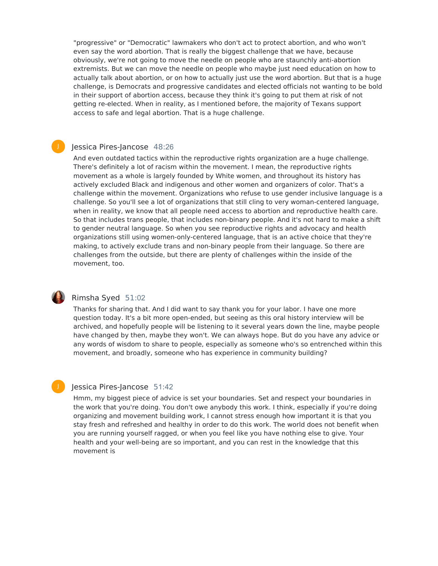"progressive" or "Democratic" lawmakers who don't act to protect abortion, and who won't even say the word abortion. That is really the biggest challenge that we have, because obviously, we're not going to move the needle on people who are staunchly anti-abortion extremists. But we can move the needle on people who maybe just need education on how to actually talk about abortion, or on how to actually just use the word abortion. But that is a huge challenge, is Democrats and progressive candidates and elected officials not wanting to be bold in their support of abortion access, because they think it's going to put them at risk of not getting re-elected. When in reality, as I mentioned before, the majority of Texans support access to safe and legal abortion. That is a huge challenge.

# Jessica Pires-Jancose 48:26

And even outdated tactics within the reproductive rights organization are a huge challenge. There's definitely a lot of racism within the movement. I mean, the reproductive rights movement as a whole is largely founded by White women, and throughout its history has actively excluded Black and indigenous and other women and organizers of color. That's a challenge within the movement. Organizations who refuse to use gender inclusive language is a challenge. So you'll see a lot of organizations that still cling to very woman-centered language, when in reality, we know that all people need access to abortion and reproductive health care. So that includes trans people, that includes non-binary people. And it's not hard to make a shift to gender neutral language. So when you see reproductive rights and advocacy and health organizations still using women-only-centered language, that is an active choice that they're making, to actively exclude trans and non-binary people from their language. So there are challenges from the outside, but there are plenty of challenges within the inside of the movement, too.

J

# Rimsha Syed 51:02

Thanks for sharing that. And I did want to say thank you for your labor. I have one more question today. It's a bit more open-ended, but seeing as this oral history interview will be archived, and hopefully people will be listening to it several years down the line, maybe people have changed by then, maybe they won't. We can always hope. But do you have any advice or any words of wisdom to share to people, especially as someone who's so entrenched within this movement, and broadly, someone who has experience in community building?

### Jessica Pires-Jancose 51:42

Hmm, my biggest piece of advice is set your boundaries. Set and respect your boundaries in the work that you're doing. You don't owe anybody this work. I think, especially if you're doing organizing and movement building work, I cannot stress enough how important it is that you stay fresh and refreshed and healthy in order to do this work. The world does not benefit when you are running yourself ragged, or when you feel like you have nothing else to give. Your health and your well-being are so important, and you can rest in the knowledge that this movement is